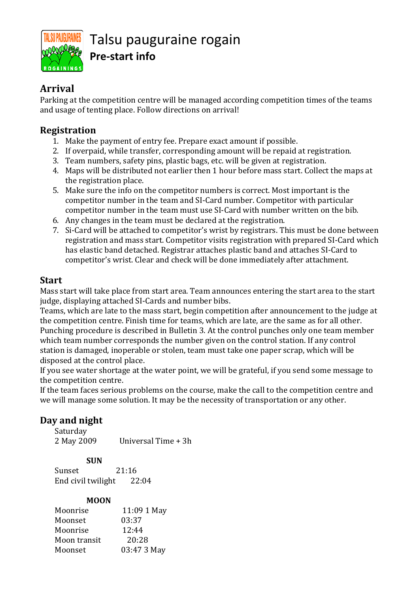

# Talsu pauguraine rogain **Pre-start info**

### **Arrival**

Parking at the competition centre will be managed according competition times of the teams and usage of tenting place. Follow directions on arrival!

### **Registration**

- 1. Make the payment of entry fee. Prepare exact amount if possible.
- 2. If overpaid, while transfer, corresponding amount will be repaid at registration.
- 3. Team numbers, safety pins, plastic bags, etc. will be given at registration.
- 4. Maps will be distributed not earlier then 1 hour before mass start. Collect the maps at the registration place.
- 5. Make sure the info on the competitor numbers is correct. Most important is the competitor number in the team and SI-Card number. Competitor with particular competitor number in the team must use SI-Card with number written on the bib.
- 6. Any changes in the team must be declared at the registration.
- 7. Si-Card will be attached to competitor's wrist by registrars. This must be done between registration and mass start. Competitor visits registration with prepared SI-Card which has elastic band detached. Registrar attaches plastic band and attaches SI-Card to competitor's wrist. Clear and check will be done immediately after attachment.

### **Start**

Mass start will take place from start area. Team announces entering the start area to the start judge, displaying attached SI-Cards and number bibs.

Teams, which are late to the mass start, begin competition after announcement to the judge at the competition centre. Finish time for teams, which are late, are the same as for all other. Punching procedure is described in Bulletin 3. At the control punches only one team member which team number corresponds the number given on the control station. If any control station is damaged, inoperable or stolen, team must take one paper scrap, which will be disposed at the control place.

If you see water shortage at the water point, we will be grateful, if you send some message to the competition centre.

If the team faces serious problems on the course, make the call to the competition centre and we will manage some solution. It may be the necessity of transportation or any other.

### **Day and night**

 Saturday 2 May 2009 Universal Time + 3h

 **SUN** Sunset 21:16 End civil twilight 22:04

#### **MOON**

| Moonrise     | 11:09 1 May |
|--------------|-------------|
| Moonset      | 03:37       |
| Moonrise     | 12:44       |
| Moon transit | 20:28       |
| Moonset      | 03:47 3 May |